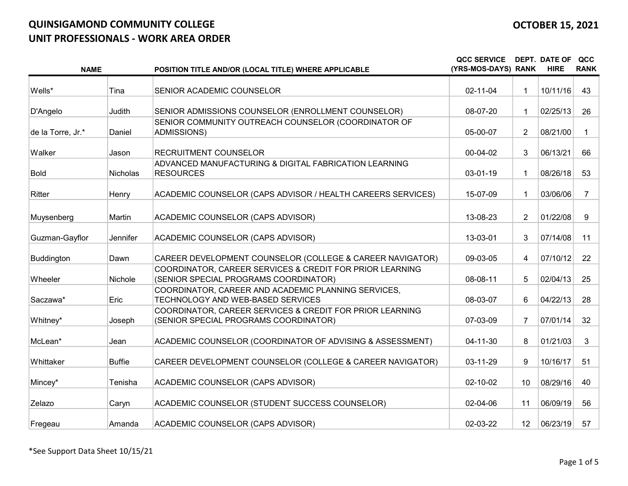| <b>NAME</b>       |          | POSITION TITLE AND/OR (LOCAL TITLE) WHERE APPLICABLE                                              | <b>QCC SERVICE</b><br>(YRS-MOS-DAYS) RANK |                | <b>DEPT. DATE OF</b><br><b>HIRE</b> | QCC<br><b>RANK</b> |
|-------------------|----------|---------------------------------------------------------------------------------------------------|-------------------------------------------|----------------|-------------------------------------|--------------------|
| Wells*            | Tina     | SENIOR ACADEMIC COUNSELOR                                                                         | 02-11-04                                  | 1              | 10/11/16                            | 43                 |
| D'Angelo          | Judith   | SENIOR ADMISSIONS COUNSELOR (ENROLLMENT COUNSELOR)                                                | 08-07-20                                  | $\mathbf 1$    | 02/25/13                            | 26                 |
| de la Torre, Jr.* | Daniel   | SENIOR COMMUNITY OUTREACH COUNSELOR (COORDINATOR OF<br><b>ADMISSIONS)</b>                         | 05-00-07                                  | $\overline{2}$ | 08/21/00                            | 1.                 |
| Walker            | Jason    | RECRUITMENT COUNSELOR                                                                             | 00-04-02                                  | 3              | 06/13/21                            | 66                 |
| <b>Bold</b>       | Nicholas | ADVANCED MANUFACTURING & DIGITAL FABRICATION LEARNING<br><b>RESOURCES</b>                         | 03-01-19                                  | 1              | 08/26/18                            | 53                 |
| Ritter            | Henry    | ACADEMIC COUNSELOR (CAPS ADVISOR / HEALTH CAREERS SERVICES)                                       | 15-07-09                                  | $\mathbf 1$    | 03/06/06                            | $\overline{7}$     |
| Muysenberg        | Martin   | ACADEMIC COUNSELOR (CAPS ADVISOR)                                                                 | 13-08-23                                  | $\overline{2}$ | 01/22/08                            | 9                  |
| Guzman-Gayflor    | Jennifer | ACADEMIC COUNSELOR (CAPS ADVISOR)                                                                 | 13-03-01                                  | 3              | 07/14/08                            | 11                 |
| Buddington        | Dawn     | CAREER DEVELOPMENT COUNSELOR (COLLEGE & CAREER NAVIGATOR)                                         | 09-03-05                                  | 4              | 07/10/12                            | 22                 |
| Wheeler           | Nichole  | COORDINATOR, CAREER SERVICES & CREDIT FOR PRIOR LEARNING<br>(SENIOR SPECIAL PROGRAMS COORDINATOR) | 08-08-11                                  | 5              | 02/04/13                            | 25                 |
| Saczawa*          | Eric     | COORDINATOR, CAREER AND ACADEMIC PLANNING SERVICES,<br>TECHNOLOGY AND WEB-BASED SERVICES          | 08-03-07                                  | 6              | 04/22/13                            | 28                 |
| Whitney*          | Joseph   | COORDINATOR, CAREER SERVICES & CREDIT FOR PRIOR LEARNING<br>(SENIOR SPECIAL PROGRAMS COORDINATOR) | 07-03-09                                  | $\overline{7}$ | 07/01/14                            | 32                 |
| McLean*           | Jean     | ACADEMIC COUNSELOR (COORDINATOR OF ADVISING & ASSESSMENT)                                         | 04-11-30                                  | 8              | 01/21/03                            | 3                  |
| Whittaker         | Buffie   | CAREER DEVELOPMENT COUNSELOR (COLLEGE & CAREER NAVIGATOR)                                         | 03-11-29                                  | 9              | 10/16/17                            | 51                 |
| Mincey*           | Tenisha  | ACADEMIC COUNSELOR (CAPS ADVISOR)                                                                 | 02-10-02                                  | 10             | 08/29/16                            | 40                 |
| Zelazo            | Caryn    | ACADEMIC COUNSELOR (STUDENT SUCCESS COUNSELOR)                                                    | 02-04-06                                  | 11             | 06/09/19                            | 56                 |
| Fregeau           | Amanda   | ACADEMIC COUNSELOR (CAPS ADVISOR)                                                                 | 02-03-22                                  | 12             | 06/23/19                            | 57                 |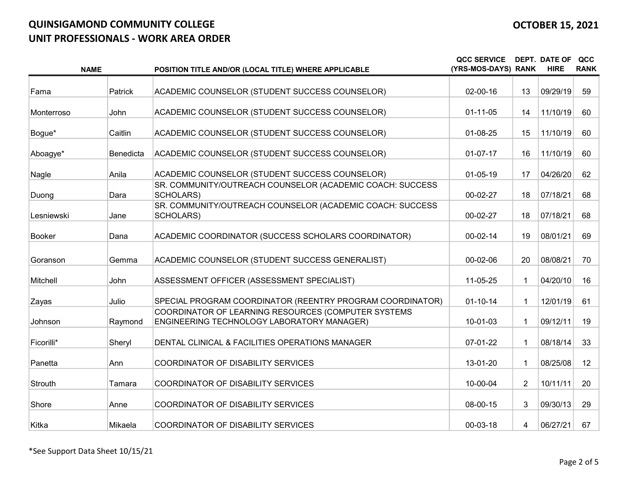|                | <b>NAME</b> | POSITION TITLE AND/OR (LOCAL TITLE) WHERE APPLICABLE                                              | <b>QCC SERVICE</b><br>(YRS-MOS-DAYS) RANK |                | <b>DEPT. DATE OF</b><br><b>HIRE</b> | QCC<br><b>RANK</b> |
|----------------|-------------|---------------------------------------------------------------------------------------------------|-------------------------------------------|----------------|-------------------------------------|--------------------|
| Fama           | Patrick     | ACADEMIC COUNSELOR (STUDENT SUCCESS COUNSELOR)                                                    | $02 - 00 - 16$                            | 13             | 09/29/19                            | 59                 |
| Monterroso     | John        | ACADEMIC COUNSELOR (STUDENT SUCCESS COUNSELOR)                                                    | $01 - 11 - 05$                            | 14             | 11/10/19                            | 60                 |
| Bogue*         | Caitlin     | ACADEMIC COUNSELOR (STUDENT SUCCESS COUNSELOR)                                                    | 01-08-25                                  | 15             | 11/10/19                            | 60                 |
| Aboagye*       | Benedicta   | ACADEMIC COUNSELOR (STUDENT SUCCESS COUNSELOR)                                                    | $01-07-17$                                | 16             | 11/10/19                            | 60                 |
| Nagle          | Anila       | ACADEMIC COUNSELOR (STUDENT SUCCESS COUNSELOR)                                                    | $01-05-19$                                | 17             | 04/26/20                            | 62                 |
| Duong          | Dara        | SR. COMMUNITY/OUTREACH COUNSELOR (ACADEMIC COACH: SUCCESS<br>SCHOLARS)                            | 00-02-27                                  | 18             | 07/18/21                            | 68                 |
| Lesniewski     | Jane        | SR. COMMUNITY/OUTREACH COUNSELOR (ACADEMIC COACH: SUCCESS<br><b>SCHOLARS)</b>                     | 00-02-27                                  | 18             | 07/18/21                            | 68                 |
| <b>Booker</b>  | Dana        | ACADEMIC COORDINATOR (SUCCESS SCHOLARS COORDINATOR)                                               | $00-02-14$                                | 19             | 08/01/21                            | 69                 |
| Goranson       | Gemma       | ACADEMIC COUNSELOR (STUDENT SUCCESS GENERALIST)                                                   | 00-02-06                                  | 20             | 08/08/21                            | 70                 |
| Mitchell       | John        | ASSESSMENT OFFICER (ASSESSMENT SPECIALIST)                                                        | 11-05-25                                  | 1              | 04/20/10                            | 16                 |
| Zayas          | Julio       | SPECIAL PROGRAM COORDINATOR (REENTRY PROGRAM COORDINATOR)                                         | $01 - 10 - 14$                            | 1.             | 12/01/19                            | 61                 |
| Johnson        | Raymond     | COORDINATOR OF LEARNING RESOURCES (COMPUTER SYSTEMS<br>ENGINEERING TECHNOLOGY LABORATORY MANAGER) | 10-01-03                                  | 1.             | 09/12/11                            | 19                 |
| Ficorilli*     | Sheryl      | DENTAL CLINICAL & FACILITIES OPERATIONS MANAGER                                                   | 07-01-22                                  | 1.             | 08/18/14                            | 33                 |
| Panetta        | Ann         | COORDINATOR OF DISABILITY SERVICES                                                                | 13-01-20                                  | 1.             | 08/25/08                            | 12                 |
| <b>Strouth</b> | Tamara      | <b>COORDINATOR OF DISABILITY SERVICES</b>                                                         | 10-00-04                                  | $\overline{2}$ | 10/11/11                            | 20                 |
| Shore          | Anne        | <b>COORDINATOR OF DISABILITY SERVICES</b>                                                         | 08-00-15                                  | 3              | 09/30/13                            | 29                 |
| Kitka          | Mikaela     | <b>COORDINATOR OF DISABILITY SERVICES</b>                                                         | 00-03-18                                  | 4              | 06/27/21                            | 67                 |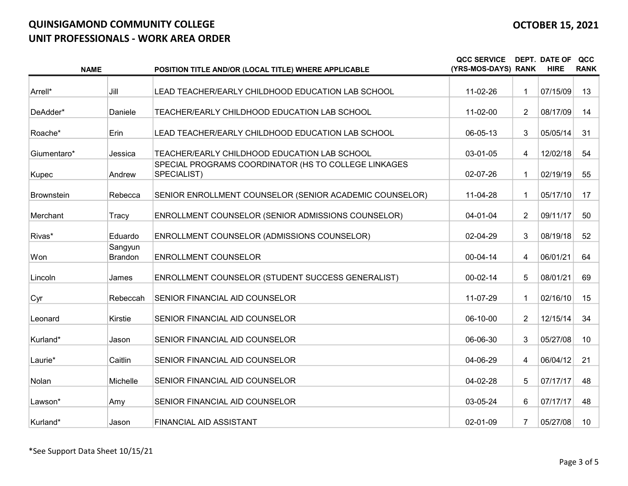| <b>NAME</b>       |                           | POSITION TITLE AND/OR (LOCAL TITLE) WHERE APPLICABLE                | <b>QCC SERVICE</b><br>(YRS-MOS-DAYS) RANK |                | <b>DEPT. DATE OF</b><br><b>HIRE</b> | QCC<br><b>RANK</b> |
|-------------------|---------------------------|---------------------------------------------------------------------|-------------------------------------------|----------------|-------------------------------------|--------------------|
| Arrell*           | Jill                      | LEAD TEACHER/EARLY CHILDHOOD EDUCATION LAB SCHOOL                   | 11-02-26                                  | $\mathbf 1$    | 07/15/09                            | 13                 |
|                   |                           |                                                                     |                                           |                |                                     |                    |
| DeAdder*          | Daniele                   | TEACHER/EARLY CHILDHOOD EDUCATION LAB SCHOOL                        | 11-02-00                                  | $\overline{2}$ | 08/17/09                            | 14                 |
| Roache*           | Erin                      | LEAD TEACHER/EARLY CHILDHOOD EDUCATION LAB SCHOOL                   | 06-05-13                                  | 3              | 05/05/14                            | 31                 |
| Giumentaro*       | Jessica                   | TEACHER/EARLY CHILDHOOD EDUCATION LAB SCHOOL                        | 03-01-05                                  | 4              | 12/02/18                            | 54                 |
| Kupec             | Andrew                    | SPECIAL PROGRAMS COORDINATOR (HS TO COLLEGE LINKAGES<br>SPECIALIST) | 02-07-26                                  | $\mathbf{1}$   | 02/19/19                            | 55                 |
| <b>Brownstein</b> | Rebecca                   | SENIOR ENROLLMENT COUNSELOR (SENIOR ACADEMIC COUNSELOR)             | 11-04-28                                  | $\mathbf 1$    | 05/17/10                            | 17                 |
| Merchant          | Tracy                     | ENROLLMENT COUNSELOR (SENIOR ADMISSIONS COUNSELOR)                  | 04-01-04                                  | $\overline{2}$ | 09/11/17                            | 50                 |
| Rivas*            | Eduardo                   | ENROLLMENT COUNSELOR (ADMISSIONS COUNSELOR)                         | 02-04-29                                  | 3              | 08/19/18                            | 52                 |
| Won               | Sangyun<br><b>Brandon</b> | <b>ENROLLMENT COUNSELOR</b>                                         | 00-04-14                                  | 4              | 06/01/21                            | 64                 |
| Lincoln           | James                     | ENROLLMENT COUNSELOR (STUDENT SUCCESS GENERALIST)                   | $00 - 02 - 14$                            | 5              | 08/01/21                            | 69                 |
| Cyr               | Rebeccah                  | SENIOR FINANCIAL AID COUNSELOR                                      | 11-07-29                                  | $\mathbf{1}$   | 02/16/10                            | 15                 |
| Leonard           | Kirstie                   | SENIOR FINANCIAL AID COUNSELOR                                      | 06-10-00                                  | $\overline{2}$ | 12/15/14                            | 34                 |
| Kurland*          | Jason                     | SENIOR FINANCIAL AID COUNSELOR                                      | 06-06-30                                  | 3              | 05/27/08                            | 10                 |
| Laurie*           | Caitlin                   | SENIOR FINANCIAL AID COUNSELOR                                      | 04-06-29                                  | 4              | 06/04/12                            | 21                 |
| Nolan             | Michelle                  | SENIOR FINANCIAL AID COUNSELOR                                      | 04-02-28                                  | 5              | 07/17/17                            | 48                 |
| Lawson*           | Amy                       | SENIOR FINANCIAL AID COUNSELOR                                      | 03-05-24                                  | 6              | 07/17/17                            | 48                 |
| Kurland*          | Jason                     | FINANCIAL AID ASSISTANT                                             | 02-01-09                                  | $\overline{7}$ | 05/27/08                            | 10 <sup>°</sup>    |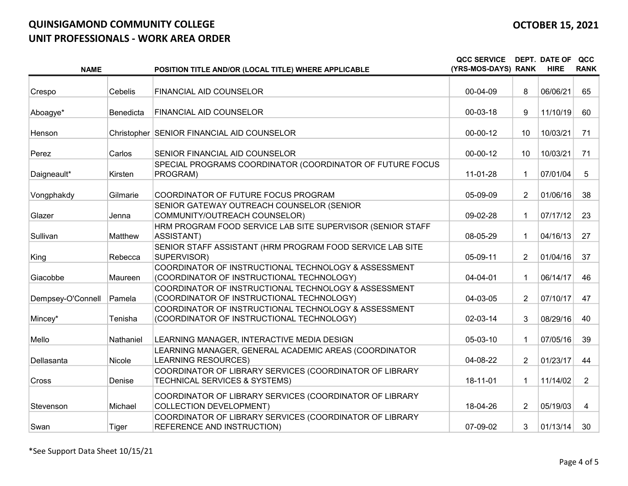| <b>NAME</b>       |           | POSITION TITLE AND/OR (LOCAL TITLE) WHERE APPLICABLE                                              | <b>QCC SERVICE</b><br>(YRS-MOS-DAYS) RANK |                | <b>DEPT. DATE OF</b><br><b>HIRE</b> | QCC<br><b>RANK</b> |
|-------------------|-----------|---------------------------------------------------------------------------------------------------|-------------------------------------------|----------------|-------------------------------------|--------------------|
|                   |           |                                                                                                   |                                           |                |                                     |                    |
| Crespo            | Cebelis   | FINANCIAL AID COUNSELOR                                                                           | 00-04-09                                  | 8              | 06/06/21                            | 65                 |
| Aboagye*          | Benedicta | FINANCIAL AID COUNSELOR                                                                           | 00-03-18                                  | 9              | 11/10/19                            | 60                 |
| Henson            |           | Christopher SENIOR FINANCIAL AID COUNSELOR                                                        | $00 - 00 - 12$                            | 10             | 10/03/21                            | 71                 |
| Perez             | Carlos    | SENIOR FINANCIAL AID COUNSELOR                                                                    | 00-00-12                                  | 10             | 10/03/21                            | 71                 |
| Daigneault*       | Kirsten   | SPECIAL PROGRAMS COORDINATOR (COORDINATOR OF FUTURE FOCUS<br>PROGRAM)                             | 11-01-28                                  | 1              | 07/01/04                            | 5                  |
| Vongphakdy        | Gilmarie  | COORDINATOR OF FUTURE FOCUS PROGRAM                                                               | 05-09-09                                  | $\overline{2}$ | 01/06/16                            | 38                 |
| Glazer            | Jenna     | SENIOR GATEWAY OUTREACH COUNSELOR (SENIOR<br>COMMUNITY/OUTREACH COUNSELOR)                        | 09-02-28                                  | $\mathbf 1$    | 07/17/12                            | 23                 |
| Sullivan          | Matthew   | HRM PROGRAM FOOD SERVICE LAB SITE SUPERVISOR (SENIOR STAFF<br>ASSISTANT)                          | 08-05-29                                  | 1              | 04/16/13                            | 27                 |
| King              | Rebecca   | SENIOR STAFF ASSISTANT (HRM PROGRAM FOOD SERVICE LAB SITE<br>SUPERVISOR)                          | 05-09-11                                  | $\overline{2}$ | 01/04/16                            | 37                 |
| Giacobbe          | Maureen   | COORDINATOR OF INSTRUCTIONAL TECHNOLOGY & ASSESSMENT<br>(COORDINATOR OF INSTRUCTIONAL TECHNOLOGY) | 04-04-01                                  | $\mathbf 1$    | 06/14/17                            | 46                 |
| Dempsey-O'Connell | Pamela    | COORDINATOR OF INSTRUCTIONAL TECHNOLOGY & ASSESSMENT<br>(COORDINATOR OF INSTRUCTIONAL TECHNOLOGY) | 04-03-05                                  | $\overline{2}$ | 07/10/17                            | 47                 |
| Mincey*           | Tenisha   | COORDINATOR OF INSTRUCTIONAL TECHNOLOGY & ASSESSMENT<br>(COORDINATOR OF INSTRUCTIONAL TECHNOLOGY) | 02-03-14                                  | 3              | 08/29/16                            | 40                 |
| Mello             | Nathaniel | LEARNING MANAGER, INTERACTIVE MEDIA DESIGN                                                        | 05-03-10                                  | $\mathbf 1$    | 07/05/16                            | 39                 |
| Dellasanta        | Nicole    | LEARNING MANAGER, GENERAL ACADEMIC AREAS (COORDINATOR<br><b>LEARNING RESOURCES)</b>               | 04-08-22                                  | $\overline{2}$ | 01/23/17                            | 44                 |
| Cross             | Denise    | COORDINATOR OF LIBRARY SERVICES (COORDINATOR OF LIBRARY<br>TECHNICAL SERVICES & SYSTEMS)          | 18-11-01                                  | $\mathbf{1}$   | 11/14/02                            | $\overline{2}$     |
| Stevenson         | Michael   | COORDINATOR OF LIBRARY SERVICES (COORDINATOR OF LIBRARY<br><b>COLLECTION DEVELOPMENT)</b>         | 18-04-26                                  | $\overline{2}$ | 05/19/03                            | 4                  |
| Swan              | Tiger     | COORDINATOR OF LIBRARY SERVICES (COORDINATOR OF LIBRARY<br>REFERENCE AND INSTRUCTION)             | 07-09-02                                  | 3              | 01/13/14                            | 30                 |